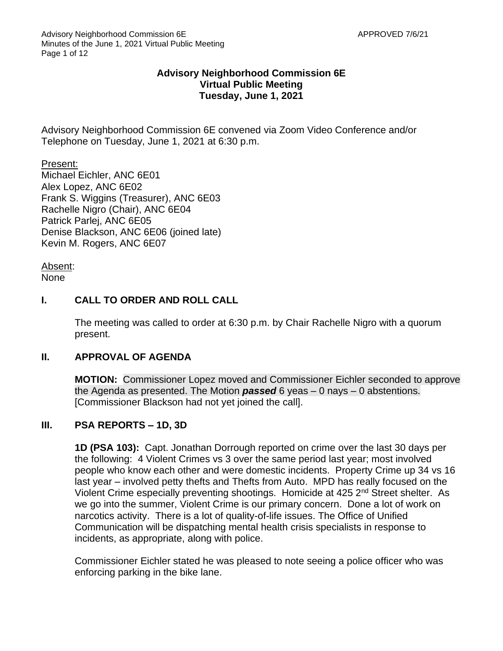### **Advisory Neighborhood Commission 6E Virtual Public Meeting Tuesday, June 1, 2021**

Advisory Neighborhood Commission 6E convened via Zoom Video Conference and/or Telephone on Tuesday, June 1, 2021 at 6:30 p.m.

Present: Michael Eichler, ANC 6E01 Alex Lopez, ANC 6E02 Frank S. Wiggins (Treasurer), ANC 6E03 Rachelle Nigro (Chair), ANC 6E04 Patrick Parlej, ANC 6E05 Denise Blackson, ANC 6E06 (joined late) Kevin M. Rogers, ANC 6E07

Absent: None

### **I. CALL TO ORDER AND ROLL CALL**

The meeting was called to order at 6:30 p.m. by Chair Rachelle Nigro with a quorum present.

#### **II. APPROVAL OF AGENDA**

**MOTION:** Commissioner Lopez moved and Commissioner Eichler seconded to approve the Agenda as presented. The Motion *passed* 6 yeas – 0 nays – 0 abstentions. [Commissioner Blackson had not yet joined the call].

# **III. PSA REPORTS – 1D, 3D**

**1D (PSA 103):** Capt. Jonathan Dorrough reported on crime over the last 30 days per the following: 4 Violent Crimes vs 3 over the same period last year; most involved people who know each other and were domestic incidents. Property Crime up 34 vs 16 last year – involved petty thefts and Thefts from Auto. MPD has really focused on the Violent Crime especially preventing shootings. Homicide at 425 2nd Street shelter. As we go into the summer, Violent Crime is our primary concern. Done a lot of work on narcotics activity. There is a lot of quality-of-life issues. The Office of Unified Communication will be dispatching mental health crisis specialists in response to incidents, as appropriate, along with police.

Commissioner Eichler stated he was pleased to note seeing a police officer who was enforcing parking in the bike lane.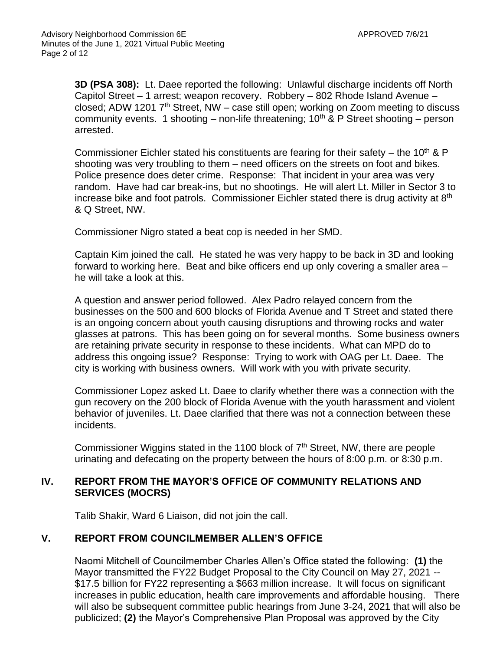**3D (PSA 308):** Lt. Daee reported the following: Unlawful discharge incidents off North Capitol Street – 1 arrest; weapon recovery. Robbery – 802 Rhode Island Avenue – closed; ADW 1201  $7<sup>th</sup>$  Street, NW – case still open; working on Zoom meeting to discuss community events. 1 shooting – non-life threatening;  $10<sup>th</sup>$  & P Street shooting – person arrested.

Commissioner Eichler stated his constituents are fearing for their safety – the 10<sup>th</sup> & P shooting was very troubling to them – need officers on the streets on foot and bikes. Police presence does deter crime. Response: That incident in your area was very random. Have had car break-ins, but no shootings. He will alert Lt. Miller in Sector 3 to increase bike and foot patrols. Commissioner Eichler stated there is drug activity at 8<sup>th</sup> & Q Street, NW.

Commissioner Nigro stated a beat cop is needed in her SMD.

Captain Kim joined the call. He stated he was very happy to be back in 3D and looking forward to working here. Beat and bike officers end up only covering a smaller area – he will take a look at this.

A question and answer period followed. Alex Padro relayed concern from the businesses on the 500 and 600 blocks of Florida Avenue and T Street and stated there is an ongoing concern about youth causing disruptions and throwing rocks and water glasses at patrons. This has been going on for several months. Some business owners are retaining private security in response to these incidents. What can MPD do to address this ongoing issue? Response: Trying to work with OAG per Lt. Daee. The city is working with business owners. Will work with you with private security.

Commissioner Lopez asked Lt. Daee to clarify whether there was a connection with the gun recovery on the 200 block of Florida Avenue with the youth harassment and violent behavior of juveniles. Lt. Daee clarified that there was not a connection between these incidents.

Commissioner Wiggins stated in the 1100 block of 7<sup>th</sup> Street, NW, there are people urinating and defecating on the property between the hours of 8:00 p.m. or 8:30 p.m.

#### **IV. REPORT FROM THE MAYOR'S OFFICE OF COMMUNITY RELATIONS AND SERVICES (MOCRS)**

Talib Shakir, Ward 6 Liaison, did not join the call.

#### **V. REPORT FROM COUNCILMEMBER ALLEN'S OFFICE**

Naomi Mitchell of Councilmember Charles Allen's Office stated the following: **(1)** the Mayor transmitted the FY22 Budget Proposal to the City Council on May 27, 2021 -- \$17.5 billion for FY22 representing a \$663 million increase. It will focus on significant increases in public education, health care improvements and affordable housing. There will also be subsequent committee public hearings from June 3-24, 2021 that will also be publicized; **(2)** the Mayor's Comprehensive Plan Proposal was approved by the City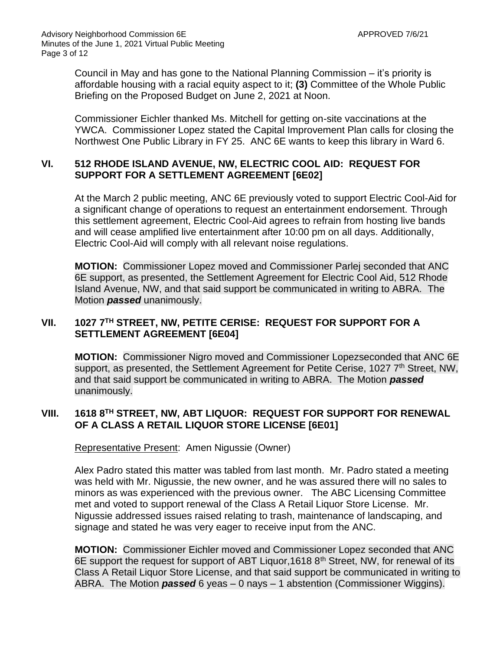Council in May and has gone to the National Planning Commission – it's priority is affordable housing with a racial equity aspect to it; **(3)** Committee of the Whole Public Briefing on the Proposed Budget on June 2, 2021 at Noon.

Commissioner Eichler thanked Ms. Mitchell for getting on-site vaccinations at the YWCA. Commissioner Lopez stated the Capital Improvement Plan calls for closing the Northwest One Public Library in FY 25. ANC 6E wants to keep this library in Ward 6.

#### **VI. 512 RHODE ISLAND AVENUE, NW, ELECTRIC COOL AID: REQUEST FOR SUPPORT FOR A SETTLEMENT AGREEMENT [6E02]**

At the March 2 public meeting, ANC 6E previously voted to support Electric Cool-Aid for a significant change of operations to request an entertainment endorsement. Through this settlement agreement, Electric Cool-Aid agrees to refrain from hosting live bands and will cease amplified live entertainment after 10:00 pm on all days. Additionally, Electric Cool-Aid will comply with all relevant noise regulations.

**MOTION:** Commissioner Lopez moved and Commissioner Parlej seconded that ANC 6E support, as presented, the Settlement Agreement for Electric Cool Aid, 512 Rhode Island Avenue, NW, and that said support be communicated in writing to ABRA. The Motion *passed* unanimously.

# **VII. 1027 7TH STREET, NW, PETITE CERISE: REQUEST FOR SUPPORT FOR A SETTLEMENT AGREEMENT [6E04]**

**MOTION:** Commissioner Nigro moved and Commissioner Lopezseconded that ANC 6E support, as presented, the Settlement Agreement for Petite Cerise, 1027 7<sup>th</sup> Street, NW, and that said support be communicated in writing to ABRA. The Motion *passed* unanimously.

# **VIII. 1618 8TH STREET, NW, ABT LIQUOR: REQUEST FOR SUPPORT FOR RENEWAL OF A CLASS A RETAIL LIQUOR STORE LICENSE [6E01]**

Representative Present: Amen Nigussie (Owner)

Alex Padro stated this matter was tabled from last month. Mr. Padro stated a meeting was held with Mr. Nigussie, the new owner, and he was assured there will no sales to minors as was experienced with the previous owner. The ABC Licensing Committee met and voted to support renewal of the Class A Retail Liquor Store License. Mr. Nigussie addressed issues raised relating to trash, maintenance of landscaping, and signage and stated he was very eager to receive input from the ANC.

**MOTION:** Commissioner Eichler moved and Commissioner Lopez seconded that ANC 6E support the request for support of ABT Liquor, 1618 8<sup>th</sup> Street, NW, for renewal of its Class A Retail Liquor Store License, and that said support be communicated in writing to ABRA. The Motion *passed* 6 yeas – 0 nays – 1 abstention (Commissioner Wiggins).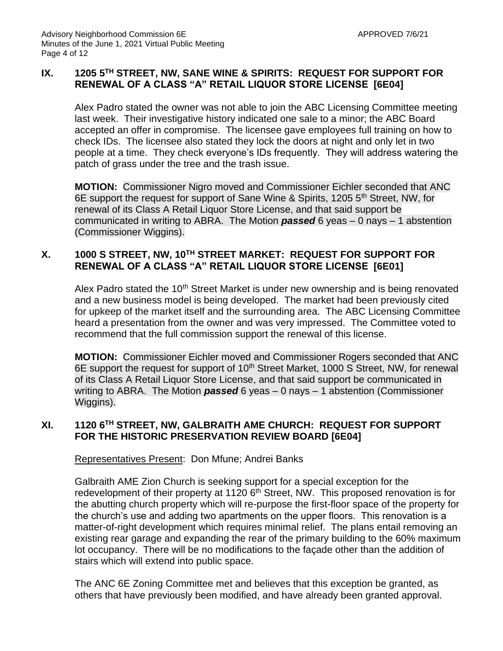### **IX. 1205 5TH STREET, NW, SANE WINE & SPIRITS: REQUEST FOR SUPPORT FOR RENEWAL OF A CLASS "A" RETAIL LIQUOR STORE LICENSE [6E04]**

Alex Padro stated the owner was not able to join the ABC Licensing Committee meeting last week. Their investigative history indicated one sale to a minor; the ABC Board accepted an offer in compromise. The licensee gave employees full training on how to check IDs. The licensee also stated they lock the doors at night and only let in two people at a time. They check everyone's IDs frequently. They will address watering the patch of grass under the tree and the trash issue.

**MOTION:** Commissioner Nigro moved and Commissioner Eichler seconded that ANC 6E support the request for support of Sane Wine & Spirits, 1205 5th Street, NW, for renewal of its Class A Retail Liquor Store License, and that said support be communicated in writing to ABRA. The Motion *passed* 6 yeas – 0 nays – 1 abstention (Commissioner Wiggins).

### **X. 1000 S STREET, NW, 10TH STREET MARKET: REQUEST FOR SUPPORT FOR RENEWAL OF A CLASS "A" RETAIL LIQUOR STORE LICENSE [6E01]**

Alex Padro stated the 10<sup>th</sup> Street Market is under new ownership and is being renovated and a new business model is being developed. The market had been previously cited for upkeep of the market itself and the surrounding area. The ABC Licensing Committee heard a presentation from the owner and was very impressed. The Committee voted to recommend that the full commission support the renewal of this license.

**MOTION:** Commissioner Eichler moved and Commissioner Rogers seconded that ANC 6E support the request for support of 10<sup>th</sup> Street Market, 1000 S Street, NW, for renewal of its Class A Retail Liquor Store License, and that said support be communicated in writing to ABRA. The Motion *passed* 6 yeas – 0 nays – 1 abstention (Commissioner Wiggins).

### **XI. 1120 6TH STREET, NW, GALBRAITH AME CHURCH: REQUEST FOR SUPPORT FOR THE HISTORIC PRESERVATION REVIEW BOARD [6E04]**

Representatives Present: Don Mfune; Andrei Banks

Galbraith AME Zion Church is seeking support for a special exception for the redevelopment of their property at 1120 6<sup>th</sup> Street, NW. This proposed renovation is for the abutting church property which will re-purpose the first-floor space of the property for the church's use and adding two apartments on the upper floors. This renovation is a matter-of-right development which requires minimal relief. The plans entail removing an existing rear garage and expanding the rear of the primary building to the 60% maximum lot occupancy. There will be no modifications to the façade other than the addition of stairs which will extend into public space.

The ANC 6E Zoning Committee met and believes that this exception be granted, as others that have previously been modified, and have already been granted approval.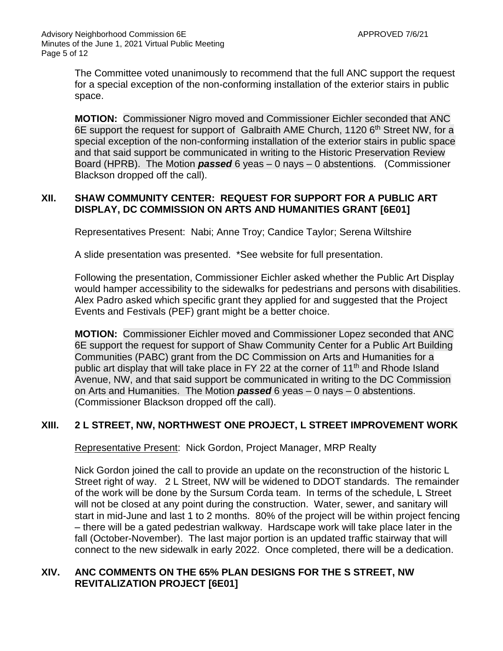The Committee voted unanimously to recommend that the full ANC support the request for a special exception of the non-conforming installation of the exterior stairs in public space.

**MOTION:** Commissioner Nigro moved and Commissioner Eichler seconded that ANC 6E support the request for support of Galbraith AME Church, 1120 6<sup>th</sup> Street NW, for a special exception of the non-conforming installation of the exterior stairs in public space and that said support be communicated in writing to the Historic Preservation Review Board (HPRB). The Motion *passed* 6 yeas – 0 nays – 0 abstentions. (Commissioner Blackson dropped off the call).

### **XII. SHAW COMMUNITY CENTER: REQUEST FOR SUPPORT FOR A PUBLIC ART DISPLAY, DC COMMISSION ON ARTS AND HUMANITIES GRANT [6E01]**

Representatives Present: Nabi; Anne Troy; Candice Taylor; Serena Wiltshire

A slide presentation was presented. \*See website for full presentation.

Following the presentation, Commissioner Eichler asked whether the Public Art Display would hamper accessibility to the sidewalks for pedestrians and persons with disabilities. Alex Padro asked which specific grant they applied for and suggested that the Project Events and Festivals (PEF) grant might be a better choice.

**MOTION:** Commissioner Eichler moved and Commissioner Lopez seconded that ANC 6E support the request for support of Shaw Community Center for a Public Art Building Communities (PABC) grant from the DC Commission on Arts and Humanities for a public art display that will take place in FY 22 at the corner of 11<sup>th</sup> and Rhode Island Avenue, NW, and that said support be communicated in writing to the DC Commission on Arts and Humanities. The Motion *passed* 6 yeas – 0 nays – 0 abstentions. (Commissioner Blackson dropped off the call).

# **XIII. 2 L STREET, NW, NORTHWEST ONE PROJECT, L STREET IMPROVEMENT WORK**

Representative Present: Nick Gordon, Project Manager, MRP Realty

Nick Gordon joined the call to provide an update on the reconstruction of the historic L Street right of way. 2 L Street, NW will be widened to DDOT standards. The remainder of the work will be done by the Sursum Corda team. In terms of the schedule, L Street will not be closed at any point during the construction. Water, sewer, and sanitary will start in mid-June and last 1 to 2 months. 80% of the project will be within project fencing – there will be a gated pedestrian walkway. Hardscape work will take place later in the fall (October-November). The last major portion is an updated traffic stairway that will connect to the new sidewalk in early 2022. Once completed, there will be a dedication.

### **XIV. ANC COMMENTS ON THE 65% PLAN DESIGNS FOR THE S STREET, NW REVITALIZATION PROJECT [6E01]**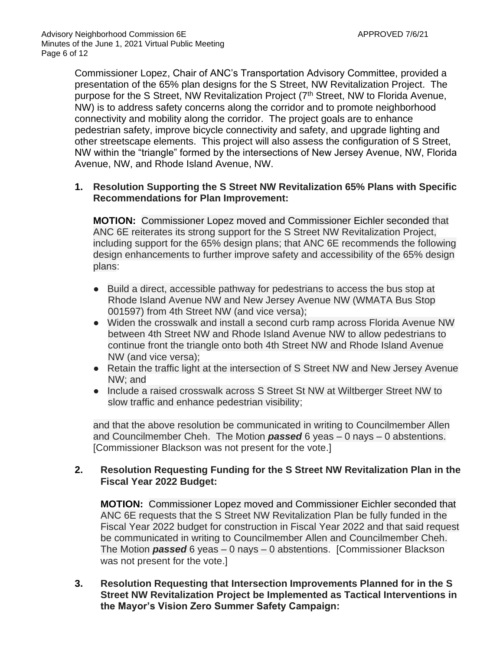Commissioner Lopez, Chair of ANC's Transportation Advisory Committee, provided a presentation of the 65% plan designs for the S Street, NW Revitalization Project. The purpose for the S Street, NW Revitalization Project (7<sup>th</sup> Street, NW to Florida Avenue, NW) is to address safety concerns along the corridor and to promote neighborhood connectivity and mobility along the corridor. The project goals are to enhance pedestrian safety, improve bicycle connectivity and safety, and upgrade lighting and other streetscape elements. This project will also assess the configuration of S Street, NW within the "triangle" formed by the intersections of New Jersey Avenue, NW, Florida Avenue, NW, and Rhode Island Avenue, NW.

#### **1. Resolution Supporting the S Street NW Revitalization 65% Plans with Specific Recommendations for Plan Improvement:**

**MOTION:** Commissioner Lopez moved and Commissioner Eichler seconded that ANC 6E reiterates its strong support for the S Street NW Revitalization Project, including support for the 65% design plans; that ANC 6E recommends the following design enhancements to further improve safety and accessibility of the 65% design plans:

- Build a direct, accessible pathway for pedestrians to access the bus stop at Rhode Island Avenue NW and New Jersey Avenue NW (WMATA Bus Stop 001597) from 4th Street NW (and vice versa);
- Widen the crosswalk and install a second curb ramp across Florida Avenue NW between 4th Street NW and Rhode Island Avenue NW to allow pedestrians to continue front the triangle onto both 4th Street NW and Rhode Island Avenue NW (and vice versa);
- Retain the traffic light at the intersection of S Street NW and New Jersey Avenue NW; and
- Include a raised crosswalk across S Street St NW at Wiltberger Street NW to slow traffic and enhance pedestrian visibility;

and that the above resolution be communicated in writing to Councilmember Allen and Councilmember Cheh. The Motion *passed* 6 yeas – 0 nays – 0 abstentions. [Commissioner Blackson was not present for the vote.]

### **2. Resolution Requesting Funding for the S Street NW Revitalization Plan in the Fiscal Year 2022 Budget:**

**MOTION:** Commissioner Lopez moved and Commissioner Eichler seconded that ANC 6E requests that the S Street NW Revitalization Plan be fully funded in the Fiscal Year 2022 budget for construction in Fiscal Year 2022 and that said request be communicated in writing to Councilmember Allen and Councilmember Cheh. The Motion *passed* 6 yeas – 0 nays – 0 abstentions. [Commissioner Blackson was not present for the vote.]

**3. Resolution Requesting that Intersection Improvements Planned for in the S Street NW Revitalization Project be Implemented as Tactical Interventions in the Mayor's Vision Zero Summer Safety Campaign:**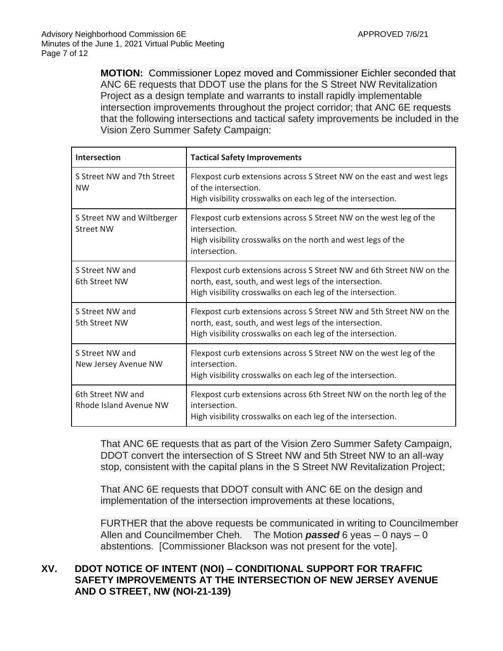**MOTION:** Commissioner Lopez moved and Commissioner Eichler seconded that ANC 6E requests that DDOT use the plans for the S Street NW Revitalization Project as a design template and warrants to install rapidly implementable intersection improvements throughout the project corridor; that ANC 6E requests that the following intersections and tactical safety improvements be included in the Vision Zero Summer Safety Campaign:

| Intersection                                   | <b>Tactical Safety Improvements</b>                                                                                                                                                           |  |
|------------------------------------------------|-----------------------------------------------------------------------------------------------------------------------------------------------------------------------------------------------|--|
| S Street NW and 7th Street<br><b>NW</b>        | Flexpost curb extensions across S Street NW on the east and west legs<br>of the intersection.<br>High visibility crosswalks on each leg of the intersection.                                  |  |
| S Street NW and Wiltberger<br><b>Street NW</b> | Flexpost curb extensions across S Street NW on the west leg of the<br>intersection.<br>High visibility crosswalks on the north and west legs of the<br>intersection.                          |  |
| S Street NW and<br>6th Street NW               | Flexpost curb extensions across S Street NW and 6th Street NW on the<br>north, east, south, and west legs of the intersection.<br>High visibility crosswalks on each leg of the intersection. |  |
| S Street NW and<br>5th Street NW               | Flexpost curb extensions across S Street NW and 5th Street NW on the<br>north, east, south, and west legs of the intersection.<br>High visibility crosswalks on each leg of the intersection. |  |
| S Street NW and<br>New Jersey Avenue NW        | Flexpost curb extensions across S Street NW on the west leg of the<br>intersection.<br>High visibility crosswalks on each leg of the intersection.                                            |  |
| 6th Street NW and<br>Rhode Island Avenue NW    | Flexpost curb extensions across 6th Street NW on the north leg of the<br>intersection.<br>High visibility crosswalks on each leg of the intersection.                                         |  |

That ANC 6E requests that as part of the Vision Zero Summer Safety Campaign, DDOT convert the intersection of S Street NW and 5th Street NW to an all-way stop, consistent with the capital plans in the S Street NW Revitalization Project;

That ANC 6E requests that DDOT consult with ANC 6E on the design and implementation of the intersection improvements at these locations,

FURTHER that the above requests be communicated in writing to Councilmember Allen and Councilmember Cheh. The Motion *passed* 6 yeas – 0 nays – 0 abstentions. [Commissioner Blackson was not present for the vote].

# **XV. DDOT NOTICE OF INTENT (NOI) – CONDITIONAL SUPPORT FOR TRAFFIC SAFETY IMPROVEMENTS AT THE INTERSECTION OF NEW JERSEY AVENUE AND O STREET, NW (NOI-21-139)**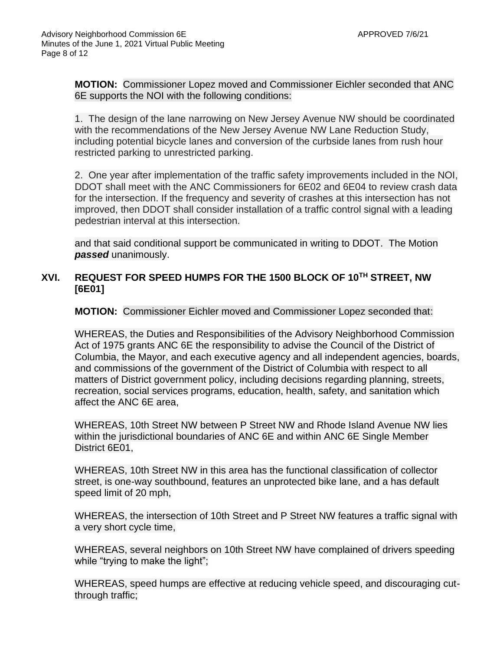**MOTION:** Commissioner Lopez moved and Commissioner Eichler seconded that ANC 6E supports the NOI with the following conditions:

1. The design of the lane narrowing on New Jersey Avenue NW should be coordinated with the recommendations of the New Jersey Avenue NW Lane Reduction Study, including potential bicycle lanes and conversion of the curbside lanes from rush hour restricted parking to unrestricted parking.

2. One year after implementation of the traffic safety improvements included in the NOI, DDOT shall meet with the ANC Commissioners for 6E02 and 6E04 to review crash data for the intersection. If the frequency and severity of crashes at this intersection has not improved, then DDOT shall consider installation of a traffic control signal with a leading pedestrian interval at this intersection.

and that said conditional support be communicated in writing to DDOT.The Motion *passed* unanimously.

# **XVI. REQUEST FOR SPEED HUMPS FOR THE 1500 BLOCK OF 10TH STREET, NW [6E01]**

**MOTION:** Commissioner Eichler moved and Commissioner Lopez seconded that:

WHEREAS, the Duties and Responsibilities of the Advisory Neighborhood Commission Act of 1975 grants ANC 6E the responsibility to advise the Council of the District of Columbia, the Mayor, and each executive agency and all independent agencies, boards, and commissions of the government of the District of Columbia with respect to all matters of District government policy, including decisions regarding planning, streets, recreation, social services programs, education, health, safety, and sanitation which affect the ANC 6E area,

WHEREAS, 10th Street NW between P Street NW and Rhode Island Avenue NW lies within the jurisdictional boundaries of ANC 6E and within ANC 6E Single Member District 6E01,

WHEREAS, 10th Street NW in this area has the functional classification of collector street, is one-way southbound, features an unprotected bike lane, and a has default speed limit of 20 mph,

WHEREAS, the intersection of 10th Street and P Street NW features a traffic signal with a very short cycle time,

WHEREAS, several neighbors on 10th Street NW have complained of drivers speeding while "trying to make the light";

WHEREAS, speed humps are effective at reducing vehicle speed, and discouraging cutthrough traffic;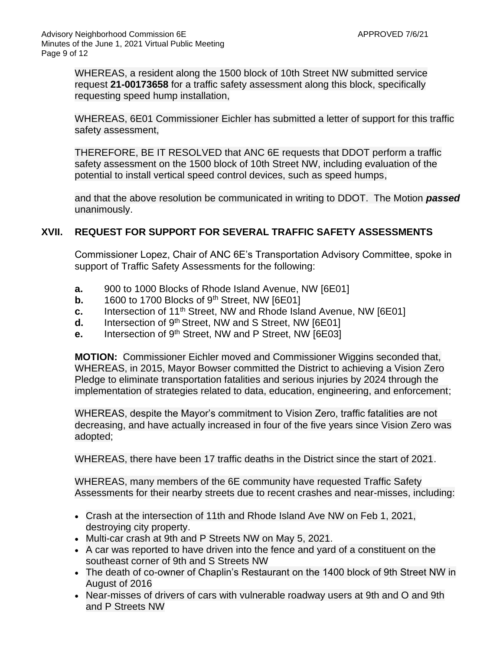WHEREAS, a resident along the 1500 block of 10th Street NW submitted service request **21-00173658** for a traffic safety assessment along this block, specifically requesting speed hump installation,

WHEREAS, 6E01 Commissioner Eichler has submitted a letter of support for this traffic safety assessment,

THEREFORE, BE IT RESOLVED that ANC 6E requests that DDOT perform a traffic safety assessment on the 1500 block of 10th Street NW, including evaluation of the potential to install vertical speed control devices, such as speed humps,

and that the above resolution be communicated in writing to DDOT. The Motion *passed* unanimously.

# **XVII. REQUEST FOR SUPPORT FOR SEVERAL TRAFFIC SAFETY ASSESSMENTS**

Commissioner Lopez, Chair of ANC 6E's Transportation Advisory Committee, spoke in support of Traffic Safety Assessments for the following:

- **a.** 900 to 1000 Blocks of Rhode Island Avenue, NW [6E01]
- **b.** 1600 to 1700 Blocks of  $9<sup>th</sup>$  Street, NW  $[6E01]$
- **c.** Intersection of 11<sup>th</sup> Street, NW and Rhode Island Avenue, NW [6E01]
- **d.** Intersection of 9<sup>th</sup> Street, NW and S Street, NW [6E01]
- **e.** Intersection of 9th Street, NW and P Street, NW [6E03]

**MOTION:** Commissioner Eichler moved and Commissioner Wiggins seconded that, WHEREAS, in 2015, Mayor Bowser committed the District to achieving a Vision Zero Pledge to eliminate transportation fatalities and serious injuries by 2024 through the implementation of strategies related to data, education, engineering, and enforcement;

WHEREAS, despite the Mayor's commitment to Vision Zero, traffic fatalities are not decreasing, and have actually increased in four of the five years since Vision Zero was adopted;

WHEREAS, there have been 17 traffic deaths in the District since the start of 2021.

WHEREAS, many members of the 6E community have requested Traffic Safety Assessments for their nearby streets due to recent crashes and near-misses, including:

- Crash at the intersection of 11th and Rhode Island Ave NW on Feb 1, 2021, destroying city property.
- Multi-car crash at 9th and P Streets NW on May 5, 2021.
- A car was reported to have driven into the fence and yard of a constituent on the southeast corner of 9th and S Streets NW
- The death of co-owner of Chaplin's Restaurant on the 1400 block of 9th Street NW in August of 2016
- Near-misses of drivers of cars with vulnerable roadway users at 9th and O and 9th and P Streets NW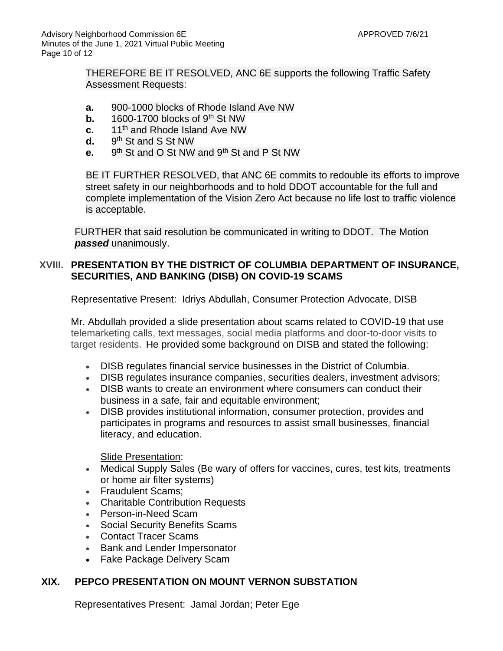THEREFORE BE IT RESOLVED, ANC 6E supports the following Traffic Safety Assessment Requests:

- **a.** 900-1000 blocks of Rhode Island Ave NW
- **b.** 1600-1700 blocks of 9<sup>th</sup> St NW
- **c.** 11th and Rhode Island Ave NW
- **d.** 9 9<sup>th</sup> St and S St NW
- **e.** 9  $9<sup>th</sup>$  St and O St NW and  $9<sup>th</sup>$  St and P St NW

BE IT FURTHER RESOLVED, that ANC 6E commits to redouble its efforts to improve street safety in our neighborhoods and to hold DDOT accountable for the full and complete implementation of the Vision Zero Act because no life lost to traffic violence is acceptable.

FURTHER that said resolution be communicated in writing to DDOT. The Motion *passed* unanimously.

#### **XVIII. PRESENTATION BY THE DISTRICT OF COLUMBIA DEPARTMENT OF INSURANCE, SECURITIES, AND BANKING (DISB) ON COVID-19 SCAMS**

Representative Present: Idriys Abdullah, Consumer Protection Advocate, DISB

Mr. Abdullah provided a slide presentation about scams related to COVID-19 that use telemarketing calls, text messages, social media platforms and door-to-door visits to target residents. He provided some background on DISB and stated the following:

- DISB regulates financial service businesses in the District of Columbia.
- DISB regulates insurance companies, securities dealers, investment advisors;
- DISB wants to create an environment where consumers can conduct their business in a safe, fair and equitable environment;
- DISB provides institutional information, consumer protection, provides and participates in programs and resources to assist small businesses, financial literacy, and education.

Slide Presentation:

- Medical Supply Sales (Be wary of offers for vaccines, cures, test kits, treatments or home air filter systems)
- Fraudulent Scams;
- Charitable Contribution Requests
- Person-in-Need Scam
- Social Security Benefits Scams
- Contact Tracer Scams
- Bank and Lender Impersonator
- Fake Package Delivery Scam

#### **XIX. PEPCO PRESENTATION ON MOUNT VERNON SUBSTATION**

Representatives Present: Jamal Jordan; Peter Ege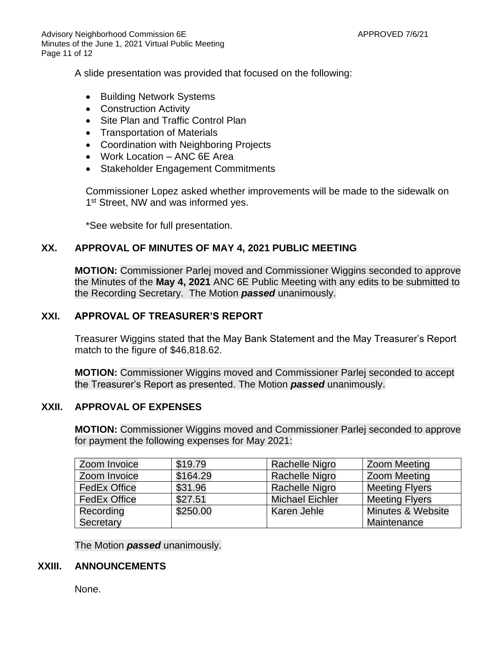Advisory Neighborhood Commission 6E APPROVED 7/6/21 Minutes of the June 1, 2021 Virtual Public Meeting Page 11 of 12

A slide presentation was provided that focused on the following:

- Building Network Systems
- Construction Activity
- Site Plan and Traffic Control Plan
- Transportation of Materials
- Coordination with Neighboring Projects
- Work Location ANC 6E Area
- Stakeholder Engagement Commitments

Commissioner Lopez asked whether improvements will be made to the sidewalk on 1<sup>st</sup> Street, NW and was informed yes.

\*See website for full presentation.

#### **XX. APPROVAL OF MINUTES OF MAY 4, 2021 PUBLIC MEETING**

**MOTION:** Commissioner Parlej moved and Commissioner Wiggins seconded to approve the Minutes of the **May 4, 2021** ANC 6E Public Meeting with any edits to be submitted to the Recording Secretary. The Motion *passed* unanimously.

#### **XXI. APPROVAL OF TREASURER'S REPORT**

Treasurer Wiggins stated that the May Bank Statement and the May Treasurer's Report match to the figure of \$46,818.62.

**MOTION:** Commissioner Wiggins moved and Commissioner Parlej seconded to accept the Treasurer's Report as presented. The Motion *passed* unanimously.

#### **XXII. APPROVAL OF EXPENSES**

**MOTION:** Commissioner Wiggins moved and Commissioner Parlej seconded to approve for payment the following expenses for May 2021:

| Zoom Invoice        | \$19.79  | Rachelle Nigro         | Zoom Meeting                 |
|---------------------|----------|------------------------|------------------------------|
| Zoom Invoice        | \$164.29 | <b>Rachelle Nigro</b>  | <b>Zoom Meeting</b>          |
| <b>FedEx Office</b> | \$31.96  | <b>Rachelle Nigro</b>  | <b>Meeting Flyers</b>        |
| <b>FedEx Office</b> | \$27.51  | <b>Michael Eichler</b> | <b>Meeting Flyers</b>        |
| Recording           | \$250.00 | Karen Jehle            | <b>Minutes &amp; Website</b> |
| Secretary           |          |                        | Maintenance                  |

The Motion *passed* unanimously.

#### **XXIII. ANNOUNCEMENTS**

None.